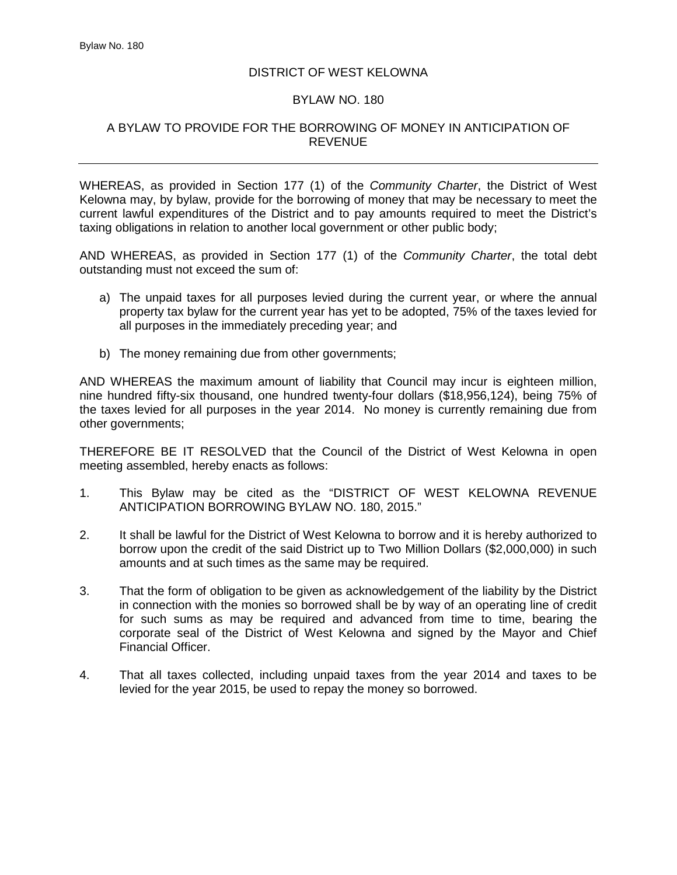## DISTRICT OF WEST KELOWNA

## BYLAW NO. 180

## A BYLAW TO PROVIDE FOR THE BORROWING OF MONEY IN ANTICIPATION OF REVENUE

WHEREAS, as provided in Section 177 (1) of the *Community Charter*, the District of West Kelowna may, by bylaw, provide for the borrowing of money that may be necessary to meet the current lawful expenditures of the District and to pay amounts required to meet the District's taxing obligations in relation to another local government or other public body;

AND WHEREAS, as provided in Section 177 (1) of the *Community Charter*, the total debt outstanding must not exceed the sum of:

- a) The unpaid taxes for all purposes levied during the current year, or where the annual property tax bylaw for the current year has yet to be adopted, 75% of the taxes levied for all purposes in the immediately preceding year; and
- b) The money remaining due from other governments;

AND WHEREAS the maximum amount of liability that Council may incur is eighteen million, nine hundred fifty-six thousand, one hundred twenty-four dollars (\$18,956,124), being 75% of the taxes levied for all purposes in the year 2014. No money is currently remaining due from other governments;

THEREFORE BE IT RESOLVED that the Council of the District of West Kelowna in open meeting assembled, hereby enacts as follows:

- 1. This Bylaw may be cited as the "DISTRICT OF WEST KELOWNA REVENUE ANTICIPATION BORROWING BYLAW NO. 180, 2015."
- 2. It shall be lawful for the District of West Kelowna to borrow and it is hereby authorized to borrow upon the credit of the said District up to Two Million Dollars (\$2,000,000) in such amounts and at such times as the same may be required.
- 3. That the form of obligation to be given as acknowledgement of the liability by the District in connection with the monies so borrowed shall be by way of an operating line of credit for such sums as may be required and advanced from time to time, bearing the corporate seal of the District of West Kelowna and signed by the Mayor and Chief Financial Officer.
- 4. That all taxes collected, including unpaid taxes from the year 2014 and taxes to be levied for the year 2015, be used to repay the money so borrowed.